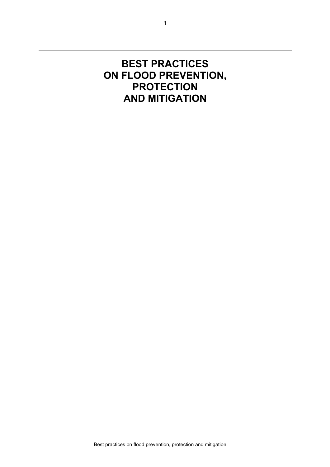# **BEST PRACTICES ON FLOOD PREVENTION, PROTECTION AND MITIGATION**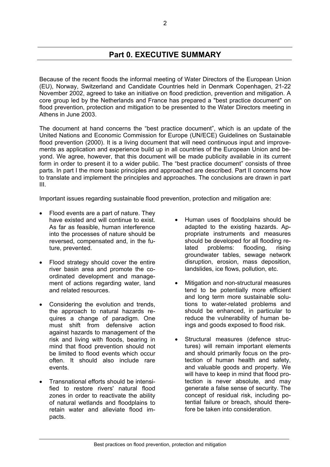# **Part 0. EXECUTIVE SUMMARY**

Because of the recent floods the informal meeting of Water Directors of the European Union (EU), Norway, Switzerland and Candidate Countries held in Denmark Copenhagen, 21-22 November 2002, agreed to take an initiative on flood prediction, prevention and mitigation. A core group led by the Netherlands and France has prepared a "best practice document" on flood prevention, protection and mitigation to be presented to the Water Directors meeting in Athens in June 2003.

The document at hand concerns the "best practice document", which is an update of the United Nations and Economic Commission for Europe (UN/ECE) Guidelines on Sustainable flood prevention (2000). It is a living document that will need continuous input and improvements as application and experience build up in all countries of the European Union and beyond. We agree, however, that this document will be made publicity available in its current form in order to present it to a wider public. The "best practice document" consists of three parts. In part I the more basic principles and approached are described. Part II concerns how to translate and implement the principles and approaches. The conclusions are drawn in part III.

Important issues regarding sustainable flood prevention, protection and mitigation are:

- Flood events are a part of nature. They have existed and will continue to exist. As far as feasible, human interference into the processes of nature should be reversed, compensated and, in the future, prevented.
- Flood strategy should cover the entire river basin area and promote the coordinated development and management of actions regarding water, land and related resources.
- Considering the evolution and trends, the approach to natural hazards requires a change of paradigm. One must shift from defensive action against hazards to management of the risk and living with floods, bearing in mind that flood prevention should not be limited to flood events which occur often. It should also include rare events.
- Transnational efforts should be intensified to restore rivers' natural flood zones in order to reactivate the ability of natural wetlands and floodplains to retain water and alleviate flood impacts.
- Human uses of floodplains should be adapted to the existing hazards. Appropriate instruments and measures should be developed for all flooding related problems: flooding, rising groundwater tables, sewage network disruption, erosion, mass deposition, landslides, ice flows, pollution, etc.
- Mitigation and non-structural measures tend to be potentially more efficient and long term more sustainable solutions to water-related problems and should be enhanced, in particular to reduce the vulnerability of human beings and goods exposed to flood risk.
- Structural measures (defence structures) will remain important elements and should primarily focus on the protection of human health and safety, and valuable goods and property. We will have to keep in mind that flood protection is never absolute, and may generate a false sense of security. The concept of residual risk, including potential failure or breach, should therefore be taken into consideration.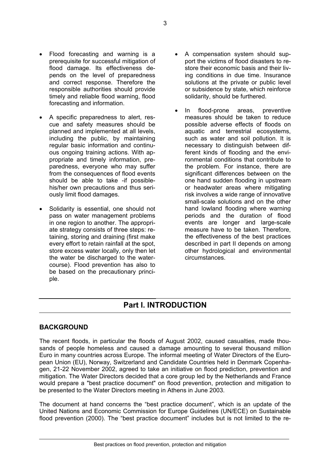timely and reliable flood warning, flood

forecasting and information.

- A specific preparedness to alert, rescue and safety measures should be planned and implemented at all levels, including the public, by maintaining regular basic information and continuous ongoing training actions. With appropriate and timely information, preparedness, everyone who may suffer from the consequences of flood events should be able to take -if possiblehis/her own precautions and thus seriously limit flood damages.
- Solidarity is essential, one should not pass on water management problems in one region to another. The appropriate strategy consists of three steps: retaining, storing and draining (first make every effort to retain rainfall at the spot, store excess water locally, only then let the water be discharged to the watercourse). Flood prevention has also to be based on the precautionary principle.
- A compensation system should support the victims of flood disasters to restore their economic basis and their living conditions in due time. Insurance solutions at the private or public level or subsidence by state, which reinforce solidarity, should be furthered.
- In flood-prone areas, preventive measures should be taken to reduce possible adverse effects of floods on aquatic and terrestrial ecosystems, such as water and soil pollution. It is necessary to distinguish between different kinds of flooding and the environmental conditions that contribute to the problem. For instance, there are significant differences between on the one hand sudden flooding in upstream or headwater areas where mitigating risk involves a wide range of innovative small-scale solutions and on the other hand lowland flooding where warning periods and the duration of flood events are longer and large-scale measure have to be taken. Therefore, the effectiveness of the best practices described in part II depends on among other hydrological and environmental circumstances.

# **Part I. INTRODUCTION**

### **BACKGROUND**

The recent floods, in particular the floods of August 2002, caused casualties, made thousands of people homeless and caused a damage amounting to several thousand million Euro in many countries across Europe. The informal meeting of Water Directors of the European Union (EU), Norway, Switzerland and Candidate Countries held in Denmark Copenhagen, 21-22 November 2002, agreed to take an initiative on flood prediction, prevention and mitigation. The Water Directors decided that a core group led by the Netherlands and France would prepare a "best practice document" on flood prevention, protection and mitigation to be presented to the Water Directors meeting in Athens in June 2003.

The document at hand concerns the "best practice document", which is an update of the United Nations and Economic Commission for Europe Guidelines (UN/ECE) on Sustainable flood prevention (2000). The "best practice document" includes but is not limited to the re-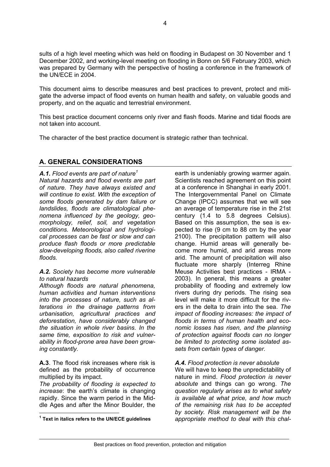sults of a high level meeting which was held on flooding in Budapest on 30 November and 1 December 2002, and working-level meeting on flooding in Bonn on 5/6 February 2003, which was prepared by Germany with the perspective of hosting a conference in the framework of the UN/ECE in 2004.

This document aims to describe measures and best practices to prevent, protect and mitigate the adverse impact of flood events on human health and safety, on valuable goods and property, and on the aquatic and terrestrial environment.

This best practice document concerns only river and flash floods. Marine and tidal floods are not taken into account.

The character of the best practice document is strategic rather than technical.

### **A. GENERAL CONSIDERATIONS**

*A.1. Flood events are part of nature[1](#page-3-0) Natural hazards and flood events are part of nature. They have always existed and will continue to exist. With the exception of some floods generated by dam failure or landslides, floods are climatological phenomena influenced by the geology, geomorphology, relief, soil, and vegetation conditions. Meteorological and hydrological processes can be fast or slow and can produce flash floods or more predictable slow-developing floods, also called riverine floods.* 

#### *A.2. Society has become more vulnerable to natural hazards*

*Although floods are natural phenomena, human activities and human interventions into the processes of nature, such as alterations in the drainage patterns from urbanisation, agricultural practices and deforestation, have considerably changed the situation in whole river basins. In the same time, exposition to risk and vulnerability in flood-prone area have been growing constantly.* 

**A.3**. The flood risk increases where risk is defined as the probability of occurrence multiplied by its impact.

*The probability of flooding is expected to increase*: the earth's climate is changing rapidly. Since the warm period in the Middle Ages and after the Minor Boulder, the earth is undeniably growing warmer again. Scientists reached agreement on this point at a conference in Shanghai in early 2001. The Intergovernmental Panel on Climate Change (IPCC) assumes that we will see an average of temperature rise in the 21st century (1.4 to 5.8 degrees Celsius). Based on this assumption, the sea is expected to rise (9 cm to 88 cm by the year 2100). The precipitation pattern will also change. Humid areas will generally become more humid, and arid areas more arid. The amount of precipitation will also fluctuate more sharply (Interreg Rhine Meuse Activities best practices - IRMA - 2003). In general, this means a greater probability of flooding and extremely low rivers during dry periods. The rising sea level will make it more difficult for the rivers in the delta to drain into the sea. *The impact of flooding increases: the impact of floods in terms of human health and economic losses has risen, and the planning of protection against floods can no longer be limited to protecting some isolated assets from certain types of danger.* 

### *A.4. Flood protection is never absolute*

We will have to keep the unpredictability of nature in mind. *Flood protection is never absolute* and things can go wrong. *The question regularly arises as to what safety is available at what price, and how much of the remaining risk has to be accepted by society. Risk management will be the appropriate method to deal with this chal-*

<span id="page-3-0"></span> $\overline{a}$ **1 Text in italics refers to the UN/ECE guidelines**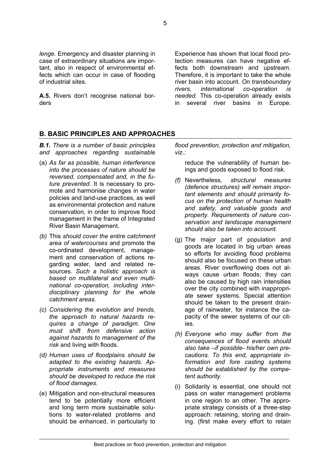**A.5.** Rivers don't recognise national borders

Experience has shown that local flood protection measures can have negative effects both downstream and upstream. Therefore, it is important to take the whole river basin into account. *On transboundary rivers, international co-operation is needed.* This co-operation already exists in several river basins in Europe.

### **B. BASIC PRINCIPLES AND APPROACHES**

*B.1. There is a number of basic principles and approaches regarding sustainable*

- (a) *As far as possible, human interference into the processes of nature should be reversed, compensated and, in the future prevented.* It is necessary to promote and harmonise changes in water policies and land-use practices, as well as environmental protection and nature conservation, in order to improve flood management in the frame of Integrated River Basin Management.
- *(b)* This *should cover the entire catchment area of watercourses* and promote the co-ordinated development, management and conservation of actions regarding water, land and related resources. *Such a holistic approach is based on multilateral and even multinational co-operation, including interdisciplinary planning for the whole catchment areas.*
- *(c) Considering the evolution and trends, the approach to natural hazards requires a change of paradigm. One must shift from defensive action against hazards to management of the risk* and living with floods*.*
- *(d) Human uses of floodplains should be adapted to the existing hazards. Appropriate instruments and measures should be developed to reduce the risk of flood damages.*
- (e) Mitigation and non-structural measures tend to be potentially more efficient and long term more sustainable solutions to water-related problems and should be enhanced, in particularly to

*flood prevention, protection and mitigation, viz.:* 

reduce the vulnerability of human beings and goods exposed to flood risk.

- *(f)* Nevertheless*, structural measures (defence structures) will remain important elements and should primarily focus on the protection of human health and safety, and valuable goods and property. Requirements of nature conservation and landscape management should also be taken into account.*
- (g) The major part of population and goods are located in big urban areas so efforts for avoiding flood problems should also be focused on these urban areas. River overflowing does not always cause urban floods; they can also be caused by high rain intensities over the city combined with inappropriate sewer systems. Special attention should be taken to the present drainage of rainwater, for instance the capacity of the sewer systems of our cities.
- *(h) Everyone who may suffer from the consequences of flood events should also take –if possible- his/her own precautions. To this end, appropriate information and fore casting systems should be established by the competent authority.*
- (i) Solidarity is essential, one should not pass on water management problems in one region to an other. The appropriate strategy consists of a three-step approach: retaining, storing and draining. (first make every effort to retain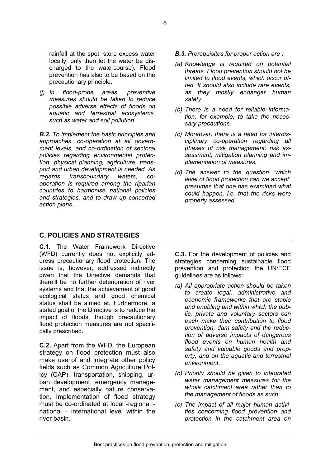rainfall at the spot, store excess water locally, only then let the water be discharged to the watercourse). Flood prevention has also to be based on the precautionary principle.

*(j) In flood-prone areas, preventive measures should be taken to reduce possible adverse effects of floods on aquatic and terrestrial ecosystems, such as water and soil pollution.* 

*B.2. To implement the basic principles and approaches, co-operation at all government levels, and co-ordination of sectoral policies regarding environmental protection, physical planning, agriculture, transport and urban development is needed. As regards transboundary waters, cooperation is required among the riparian countries to harmonise national policies and strategies, and to draw up concerted action plans.* 

- *B.3. Prerequisites for proper action are :*
- *(a) Knowledge is required on potential threats. Flood prevention should not be limited to flood events, which occur often. It should also include rare events, as they mostly endanger human safety.*
- *(b) There is a need for reliable information, for example, to take the necessary precautions.*
- *(c) Moreover, there is a need for interdisciplinary co-operation regarding all phases of risk management: risk assessment, mitigation planning and implementation of measures.*
- *(d) The answer to the question "which level of flood protection can we accept" presumes that one has examined what could happen, i.e. that the risks were properly assessed.*

### **C. POLICIES AND STRATEGIES**

**C.1.** The Water Framework Directive (WFD) currently does not explicitly address precautionary flood protection. The issue is, however, addressed indirectly given that the Directive demands that there'll be no further deterioration of river systems and that the achievement of good ecological status and good chemical status shall be aimed at. Furthermore, a stated goal of the Directive is to reduce the impact of floods, though precautionary flood protection measures are not specifically prescribed.

**C.2.** Apart from the WFD, the European strategy on flood protection must also make use of and integrate other policy fields such as Common Agriculture Policy (CAP), transportation, shipping, urban development, emergency management, and especially nature conservation. Implementation of flood strategy must be co-ordinated at local -regional national - international level within the river basin.

**C.3.** For the development of policies and strategies concerning sustainable flood prevention and protection the UN/ECE guidelines are as follows:

- *(a) All appropriate action should be taken to create legal, administrative and economic frameworks that are stable and enabling and within which the public, private and voluntary sectors can each make their contribution to flood prevention, dam safety and the reduction of adverse impacts of dangerous flood events on human health and safety and valuable goods and property, and on the aquatic and terrestrial environment.*
- *(b) Priority should be given to integrated water management measures for the whole catchment area rather than to the management of floods as such.*
- *(c) The impact of all major human activities concerning flood prevention and protection in the catchment area on*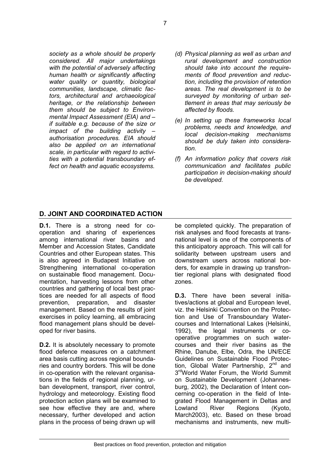*society as a whole should be properly considered. All major undertakings with the potential of adversely affecting human health or significantly affecting water quality or quantity, biological communities, landscape, climatic factors, architectural and archaeological heritage, or the relationship between them should be subject to Environmental Impact Assessment (EIA) and – if suitable e.g. because of the size or impact of the building activity – authorisation procedures. EIA should also be applied on an international scale, in particular with regard to activities with a potential transboundary effect on health and aquatic ecosystems.* 

- *(d) Physical planning as well as urban and rural development and construction should take into account the requirements of flood prevention and reduction, including the provision of retention areas. The real development is to be surveyed by monitoring of urban settlement in areas that may seriously be affected by floods.*
- *(e) In setting up these frameworks local problems, needs and knowledge, and local decision-making mechanisms should be duly taken into consideration.*
- *(f) An information policy that covers risk communication and facilitates public participation in decision-making should be developed.*

### **D. JOINT AND COORDINATED ACTION**

**D.1.** There is a strong need for cooperation and sharing of experiences among international river basins and Member and Accession States, Candidate Countries and other European states. This is also agreed in Budapest Initiative on Strengthening international co-operation on sustainable flood management. Documentation, harvesting lessons from other countries and gathering of local best practices are needed for all aspects of flood prevention, preparation, and disaster management. Based on the results of joint exercises in policy learning, all embracing flood management plans should be developed for river basins.

**D.2.** It is absolutely necessary to promote flood defence measures on a catchment area basis cutting across regional boundaries and country borders. This will be done in co-operation with the relevant organisations in the fields of regional planning, urban development, transport, river control, hydrology and meteorology. Existing flood protection action plans will be examined to see how effective they are and, where necessary, further developed and action plans in the process of being drawn up will

be completed quickly. The preparation of risk analyses and flood forecasts at transnational level is one of the components of this anticipatory approach. This will call for solidarity between upstream users and downstream users across national borders, for example in drawing up transfrontier regional plans with designated flood zones.

**D.3.** There have been several initiatives/actions at global and European level, viz. the Helsinki Convention on the Protection and Use of Transboundary Watercourses and International Lakes (Helsinki, 1992), the legal instruments or cooperative programmes on such watercourses and their river basins as the Rhine, Danube, Elbe, Odra, the UN/ECE Guidelines on Sustainable Flood Protection, Global Water Partnership, 2<sup>nd</sup> and 3<sup>rd</sup>World Water Forum, the World Summit on Sustainable Development (Johannesburg, 2002), the Declaration of Intent concerning co-operation in the field of Integrated Flood Management in Deltas and Lowland River Regions (Kyoto, March2003), etc. Based on these broad mechanisms and instruments, new multi-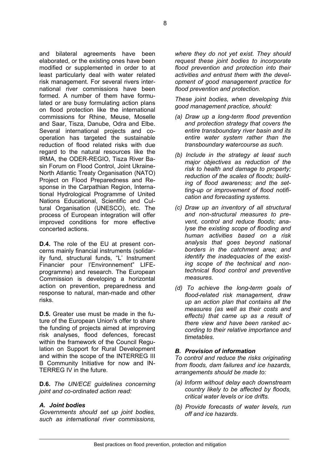and bilateral agreements have been elaborated, or the existing ones have been modified or supplemented in order to at least particularly deal with water related risk management. For several rivers international river commissions have been formed. A number of them have formulated or are busy formulating action plans on flood protection like the international commissions for Rhine, Meuse, Moselle and Saar, Tisza, Danube, Odra and Elbe. Several international projects and cooperation has targeted the sustainable reduction of flood related risks with due regard to the natural resources like the IRMA, the ODER-REGIO, Tisza River Basin Forum on Flood Control, Joint Ukraine-North Atlantic Treaty Organisation (NATO) Project on Flood Preparedness and Response in the Carpathian Region, International Hydrological Programme of United Nations Educational, Scientific and Cultural Organisation (UNESCO), etc. The process of European integration will offer improved conditions for more effective concerted actions.

**D.4.** The role of the EU at present concerns mainly financial instruments (solidarity fund, structural funds, "L' Instrument Financier pour l'Environnement" LIFEprogramme) and research. The European Commission is developing a horizontal action on prevention, preparedness and response to natural, man-made and other risks.

**D.5.** Greater use must be made in the future of the European Union's offer to share the funding of projects aimed at improving risk analyses, flood defences, forecast within the framework of the Council Regulation on Support for Rural Development and within the scope of the INTERREG III B Community Initiative for now and IN-TERREG IV in the future.

**D.6.** *The UN/ECE guidelines concerning joint and co-ordinated action read:* 

#### *A. Joint bodies*

*Governments should set up joint bodies, such as international river commissions,*  *where they do not yet exist. They should request these joint bodies to incorporate flood prevention and protection into their activities and entrust them with the development of good management practice for flood prevention and protection.* 

*These joint bodies, when developing this good management practice, should:* 

- *(a) Draw up a long-term flood prevention and protection strategy that covers the entire transboundary river basin and its entire water system rather than the transboundary watercourse as such.*
- *(b) Include in the strategy at least such major objectives as reduction of the risk to health and damage to property; reduction of the scales of floods; building of flood awareness; and the setting-up or improvement of flood notification and forecasting systems.*
- *(c) Draw up an inventory of all structural and non-structural measures to prevent, control and reduce floods; analyse the existing scope of flooding and human activities based on a risk analysis that goes beyond national borders in the catchment area; and identify the inadequacies of the existing scope of the technical and nontechnical flood control and preventive measures.*
- *(d) To achieve the long-term goals of flood-related risk management, draw up an action plan that contains all the measures (as well as their costs and effects) that came up as a result of there view and have been ranked according to their relative importance and timetables.*

#### *B. Provision of information*

*To control and reduce the risks originating from floods, dam failures and ice hazards, arrangements should be made to:* 

- *(a) Inform without delay each downstream country likely to be affected by floods, critical water levels or ice drifts.*
- *(b) Provide forecasts of water levels, run off and ice hazards.*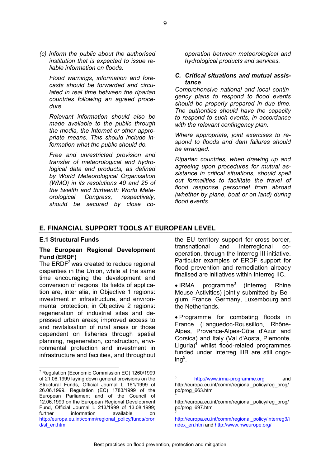*(c) Inform the public about the authorised institution that is expected to issue reliable information on floods.*

*Flood warnings, information and forecasts should be forwarded and circulated in real time between the riparian countries following an agreed procedure.* 

*Relevant information should also be made available to the public through the media, the Internet or other appropriate means. This should include information what the public should do.*

 *Free and unrestricted provision and transfer of meteorological and hydrological data and products, as defined by World Meteorological Organisation (WMO) in its resolutions 40 and 25 of the twelfth and thirteenth World Meteorological Congress, respectively, should be secured by close co-* *operation between meteorological and hydrological products and services.* 

#### *C. Critical situations and mutual assistance*

*Comprehensive national and local contingency plans to respond to flood events should be properly prepared in due time. The authorities should have the capacity to respond to such events, in accordance with the relevant contingency plan.*

*Where appropriate, joint exercises to respond to floods and dam failures should be arranged.* 

*Riparian countries, when drawing up and agreeing upon procedures for mutual assistance in critical situations, should spell out formalities to facilitate the travel of flood response personnel from abroad (whether by plane, boat or on land) during flood events.* 

#### **E. FINANCIAL SUPPORT TOOLS AT EUROPEAN LEVEL**

#### **E.1 Structural Funds**

#### **The European Regional Development Fund (ERDF)**

The  $ERDF<sup>2</sup>$  $ERDF<sup>2</sup>$  $ERDF<sup>2</sup>$  was created to reduce regional disparities in the Union, while at the same time encouraging the development and conversion of regions: Its fields of application are, inter alia, in Objective 1 regions: investment in infrastructure, and environmental protection; in Objective 2 regions: regeneration of industrial sites and depressed urban areas; improved access to and revitalisation of rural areas or those dependent on fisheries through spatial planning, regeneration, construction, environmental protection and investment in infrastructure and facilities, and throughout

the EU territory support for cross-border, transnational and interregional cooperation, through the Interreg III initiative. Particular examples of ERDF support for flood prevention and remediation already finalised are initiatives within Interreg IIC.

• IRMA programme<sup>[3](#page-8-1)</sup> (Interreg Rhine Meuse Activities) jointly submitted by Belgium, France, Germany, Luxembourg and the Netherlands.

• Programme for combating floods in France (Languedoc-Roussillon, Rhône-Alpes, Provence-Alpes-Côte d'Azur and Corsica) and Italy (Val d'Aosta, Piemonte, Liguria)<sup>4</sup> whilst flood-related programmes funded under Interreg IIIB are still ongoing $^5$  $^5$ .

<span id="page-8-3"></span>http://europa.eu.int/comm/regional\_policy/interreg3/i ndex\_en.htm and http://www.nweurope.org/

<span id="page-8-0"></span> <sup>2</sup> Regulation (Economic Commission EC) 1260/1999 of 21.06.1999 laying down general provisions on the Structural Funds, Official Journal L 161/1999 of 26.06.1999. Regulation (EC) 1783/1999 of the European Parliament and of the Council of 12.06.1999 on the European Regional Development Fund, Official Journal L 213/1999 of 13.08.1999; further information available on http://europa.eu.int/comm/regional\_policy/funds/pror d/sf\_en.htm

<span id="page-8-1"></span><sup>&</sup>lt;sup>3</sup> http://www.irma-programme.org and [http://europa.eu.int/comm/regional\\_policy/reg\\_prog/](http://europa.eu.int/comm/regional_policy/reg_prog/po/prog_663.htm) [po/prog\\_663.htm](http://europa.eu.int/comm/regional_policy/reg_prog/po/prog_663.htm) <sup>4</sup>

<span id="page-8-2"></span>[http://europa.eu.int/comm/regional\\_policy/reg\\_prog/](http://europa.eu.int/comm/regional_policy/reg_prog/po/prog_697.htm) [po/prog\\_697.htm](http://europa.eu.int/comm/regional_policy/reg_prog/po/prog_697.htm) <sup>5</sup>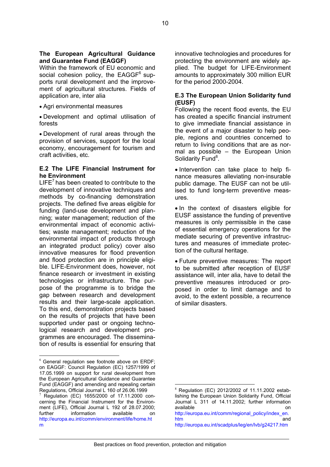#### **The European Agricultural Guidance and Guarantee Fund (EAGGF)**

Within the framework of EU economic and social cohesion policy, the  $EAGGF<sup>6</sup>$  $EAGGF<sup>6</sup>$  $EAGGF<sup>6</sup>$  supports rural development and the improvement of agricultural structures. Fields of application are, inter alia

• Agri environmental measures

• Development and optimal utilisation of forests

• Development of rural areas through the provision of services, support for the local economy, encouragement for tourism and craft activities, etc.

#### **E.2 The LIFE Financial Instrument for he Environment**

 $LIE<sup>7</sup>$  $LIE<sup>7</sup>$  $LIE<sup>7</sup>$  has been created to contribute to the development of innovative techniques and methods by co-financing demonstration projects. The defined five areas eligible for funding (land-use development and planning; water management; reduction of the environmental impact of economic activities; waste management; reduction of the environmental impact of products through an integrated product policy) cover also innovative measures for flood prevention and flood protection are in principle eligible. LIFE-Environment does, however, not finance research or investment in existing technologies or infrastructure. The purpose of the programme is to bridge the gap between research and development results and their large-scale application. To this end, demonstration projects based on the results of projects that have been supported under past or ongoing technological research and development programmes are encouraged. The dissemination of results is essential for ensuring that

innovative technologies and procedures for protecting the environment are widely applied. The budget for LIFE-Environment amounts to approximately 300 million EUR for the period 2000-2004.

#### **E.3 The European Union Solidarity fund (EUSF)**

Following the recent flood events, the EU has created a specific financial instrument to give immediate financial assistance in the event of a major disaster to help people, regions and countries concerned to return to living conditions that are as normal as possible – the European Union Solidarity Fund<sup>[8](#page-9-2)</sup>.

• Intervention can take place to help finance measures alleviating non-insurable public damage. The EUSF can not be utilised to fund long-term preventive measures.

• In the context of disasters eligible for EUSF assistance the funding of preventive measures is only permissible in the case of essential emergency operations for the mediate securing of preventive infrastructures and measures of immediate protection of the cultural heritage.

• Future preventive measures: The report to be submitted after reception of EUSF assistance will, inter alia, have to detail the preventive measures introduced or proposed in order to limit damage and to avoid, to the extent possible, a recurrence of similar disasters.

 $\overline{a}$ 

<span id="page-9-0"></span> $\overline{a}$ <sup>6</sup> General regulation see footnote above on ERDF; on EAGGF: Council Regulation (EC) 1257/1999 of 17.05.1999 on support for rural development from the European Agricultural Guidance and Guarantee Fund (EAGGF) and amending and repealing certain Regulations, Official Journal L 160 of 26.06.1999<br><sup>7</sup> Regulation (EC) 1655/2000 of 17.11.2000 con-

<span id="page-9-1"></span>cerning the Financial Instrument for the Environment (LIFE), Official Journal L 192 of 28.07.2000; further information available on http://europa.eu.int/comm/environment/life/home.ht m

<span id="page-9-2"></span><sup>8</sup> Regulation (EC) 2012/2002 of 11.11.2002 establishing the European Union Solidarity Fund, Official Journal L 311 of 14.11.2002; further information available **on on on on** http://europa.eu.int/comm/regional\_policy/index\_en.

htm and and a structure of the structure of the structure of the structure of the structure of the structure of the structure of the structure of the structure of the structure of the structure of the structure of the stru http://europa.eu.int/scadplus/leg/en/lvb/g24217.htm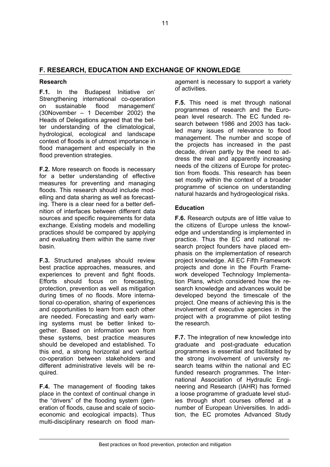### **F. RESEARCH, EDUCATION AND EXCHANGE OF KNOWLEDGE**

#### **Research**

**F.1.** In the Budapest Initiative on' Strengthening international co-operation on sustainable flood management' (30November – 1 December 2002) the Heads of Delegations agreed that the better understanding of the climatological, hydrological, ecological and landscape context of floods is of utmost importance in flood management and especially in the flood prevention strategies.

**F.2.** More research on floods is necessary for a better understanding of effective measures for preventing and managing floods. This research should include modelling and data sharing as well as forecasting. There is a clear need for a better definition of interfaces between different data sources and specific requirements for data exchange. Existing models and modelling practices should be compared by applying and evaluating them within the same river basin.

**F.3.** Structured analyses should review best practice approaches, measures, and experiences to prevent and fight floods. Efforts should focus on forecasting, protection, prevention as well as mitigation during times of no floods. More international co-operation, sharing of experiences and opportunities to learn from each other are needed. Forecasting and early warning systems must be better linked together. Based on information won from these systems, best practice measures should be developed and established. To this end, a strong horizontal and vertical co-operation between stakeholders and different administrative levels will be required.

**F.4.** The management of flooding takes place in the context of continual change in the "drivers" of the flooding system (generation of floods, cause and scale of socioeconomic and ecological impacts). Thus multi-disciplinary research on flood management is necessary to support a variety of activities.

**F.5.** This need is met through national programmes of research and the European level research. The EC funded research between 1986 and 2003 has tackled many issues of relevance to flood management. The number and scope of the projects has increased in the past decade, driven partly by the need to address the real and apparently increasing needs of the citizens of Europe for protection from floods. This research has been set mostly within the context of a broader programme of science on understanding natural hazards and hydrogeological risks.

#### **Education**

**F.6.** Research outputs are of little value to the citizens of Europe unless the knowledge and understanding is implemented in practice. Thus the EC and national research project founders have placed emphasis on the implementation of research project knowledge. All EC Fifth Framework projects and done in the Fourth Framework developed Technology Implementation Plans, which considered how the research knowledge and advances would be developed beyond the timescale of the project. One means of achieving this is the involvement of executive agencies in the project with a programme of pilot testing the research.

**F.7.** The integration of new knowledge into graduate and post-graduate education programmes is essential and facilitated by the strong involvement of university research teams within the national and EC funded research programmes. The International Association of Hydraulic Engineering and Research (IAHR) has formed a loose programme of graduate level studies through short courses offered at a number of European Universities. In addition, the EC promotes Advanced Study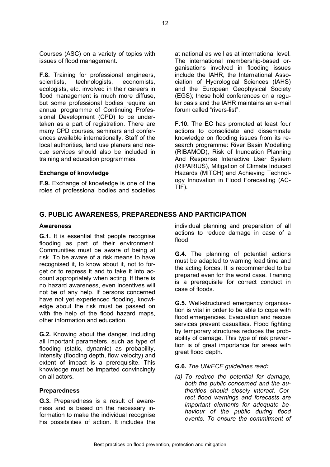Courses (ASC) on a variety of topics with issues of flood management.

**F.8.** Training for professional engineers, scientists, technologists, economists, ecologists, etc. involved in their careers in flood management is much more diffuse, but some professional bodies require an annual programme of Continuing Professional Development (CPD) to be undertaken as a part of registration. There are many CPD courses, seminars and conferences available internationally. Staff of the local authorities, land use planers and rescue services should also be included in training and education programmes.

#### **Exchange of knowledge**

**F.9.** Exchange of knowledge is one of the roles of professional bodies and societies at national as well as at international level. The international membership-based organisations involved in flooding issues include the IAHR, the International Association of Hydrological Sciences (IAHS) and the European Geophysical Society (EGS); these hold conferences on a regular basis and the IAHR maintains an e-mail forum called "rivers-list".

**F.10.** The EC has promoted at least four actions to consolidate and disseminate knowledge on flooding issues from its research programme: River Basin Modelling (RIBAMOD), Risk of Inundation Planning And Response Interactive User System (RIPARIUS), Mitigation of Climate Induced Hazards (MITCH) and Achieving Technology Innovation in Flood Forecasting (AC-TIF).

#### **G. PUBLIC AWARENESS, PREPAREDNESS AND PARTICIPATION**

#### **Awareness**

**G.1.** It is essential that people recognise flooding as part of their environment. Communities must be aware of being at risk. To be aware of a risk means to have recognised it, to know about it, not to forget or to repress it and to take it into account appropriately when acting. If there is no hazard awareness, even incentives will not be of any help. If persons concerned have not yet experienced flooding, knowledge about the risk must be passed on with the help of the flood hazard maps, other information and education.

**G.2.** Knowing about the danger, including all important parameters, such as type of flooding (static, dynamic) as probability, intensity (flooding depth, flow velocity) and extent of impact is a prerequisite. This knowledge must be imparted convincingly on all actors.

#### **Preparedness**

**G.3.** Preparedness is a result of awareness and is based on the necessary information to make the individual recognise his possibilities of action. It includes the

individual planning and preparation of all actions to reduce damage in case of a flood.

**G.4.** The planning of potential actions must be adapted to warning lead time and the acting forces. It is recommended to be prepared even for the worst case. Training is a prerequisite for correct conduct in case of floods.

**G.5.** Well-structured emergency organisation is vital in order to be able to cope with flood emergencies. Evacuation and rescue services prevent casualties. Flood fighting by temporary structures reduces the probability of damage. This type of risk prevention is of great importance for areas with great flood depth.

#### **G.6.** *The UN/ECE guidelines read:*

*(a) To reduce the potential for damage, both the public concerned and the authorities should closely interact. Correct flood warnings and forecasts are important elements for adequate behaviour of the public during flood events. To ensure the commitment of*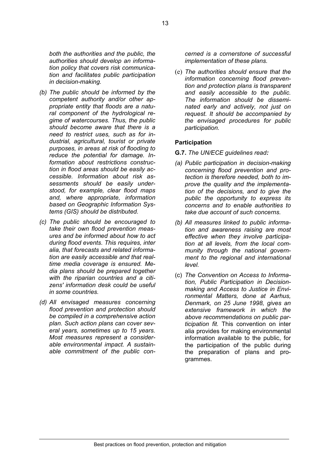*both the authorities and the public, the authorities should develop an information policy that covers risk communication and facilitates public participation in decision-making.* 

- *(b) The public should be informed by the competent authority and/or other appropriate entity that floods are a natural component of the hydrological regime of watercourses. Thus, the public should become aware that there is a need to restrict uses, such as for industrial, agricultural, tourist or private purposes, in areas at risk of flooding to reduce the potential for damage. Information about restrictions construction in flood areas should be easily accessible. Information about risk assessments should be easily understood, for example, clear flood maps and, where appropriate, information based on Geographic Information Systems (GIS) should be distributed.*
- *(c) The public should be encouraged to take their own flood prevention measures and be informed about how to act during flood events. This requires, inter alia, that forecasts and related information are easily accessible and that realtime media coverage is ensured. Media plans should be prepared together with the riparian countries and a citizens' information desk could be useful in some countries.*
- *(d) All envisaged measures concerning flood prevention and protection should be compiled in a comprehensive action plan. Such action plans can cover several years, sometimes up to 15 years. Most measures represent a considerable environmental impact. A sustainable commitment of the public con-*

*cerned is a cornerstone of successful implementation of these plans.* 

(e) *The authorities should ensure that the information concerning flood prevention and protection plans is transparent and easily accessible to the public. The information should be disseminated early and actively, not just on request. It should be accompanied by the envisaged procedures for public participation.*

#### **Participation**

- **G.7.** *The UN/ECE guidelines read:*
- *(a) Public participation in decision-making concerning flood prevention and protection is therefore needed, both to improve the quality and the implementation of the decisions, and to give the public the opportunity to express its concerns and to enable authorities to take due account of such concerns.*
- *(b) All measures linked to public information and awareness raising are most effective when they involve participation at all levels, from the local community through the national government to the regional and international level.*
- (c) *The Convention on Access to Information, Public Participation in Decisionmaking and Access to Justice in Environmental Matters, done at Aarhus, Denmark, on 25 June 1998, gives an extensive framework in which the above recommendations on public participation fit.* This convention on inter alia provides for making environmental information available to the public, for the participation of the public during the preparation of plans and programmes.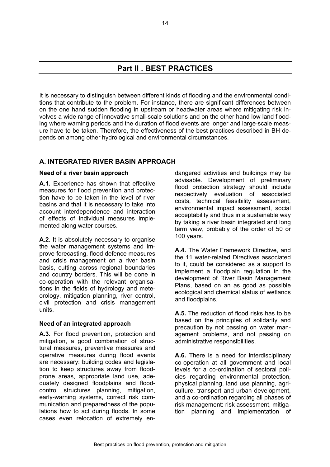# **Part II . BEST PRACTICES**

It is necessary to distinguish between different kinds of flooding and the environmental conditions that contribute to the problem. For instance, there are significant differences between on the one hand sudden flooding in upstream or headwater areas where mitigating risk involves a wide range of innovative small-scale solutions and on the other hand low land flooding where warning periods and the duration of flood events are longer and large-scale measure have to be taken. Therefore, the effectiveness of the best practices described in BH depends on among other hydrological and environmental circumstances.

### **A. INTEGRATED RIVER BASIN APPROACH**

#### **Need of a river basin approach**

**A.1.** Experience has shown that effective measures for flood prevention and protection have to be taken in the level of river basins and that it is necessary to take into account interdependence and interaction of effects of individual measures implemented along water courses.

**A.2.** It is absolutely necessary to organise the water management systems and improve forecasting, flood defence measures and crisis management on a river basin basis, cutting across regional boundaries and country borders. This will be done in co-operation with the relevant organisations in the fields of hydrology and meteorology, mitigation planning, river control, civil protection and crisis management units.

### **Need of an integrated approach**

**A.3.** For flood prevention, protection and mitigation, a good combination of structural measures, preventive measures and operative measures during flood events are necessary: building codes and legislation to keep structures away from floodprone areas, appropriate land use, adequately designed floodplains and floodcontrol structures planning, mitigation, early-warning systems, correct risk communication and preparedness of the populations how to act during floods. In some cases even relocation of extremely endangered activities and buildings may be advisable. Development of preliminary flood protection strategy should include respectively evaluation of associated costs, technical feasibility assessment, environmental impact assessment, social acceptability and thus in a sustainable way by taking a river basin integrated and long term view, probably of the order of 50 or 100 years.

**A.4.** The Water Framework Directive, and the 11 water-related Directives associated to it, could be considered as a support to implement a floodplain regulation in the development of River Basin Management Plans, based on an as good as possible ecological and chemical status of wetlands and floodplains.

**A.5.** The reduction of flood risks has to be based on the principles of solidarity and precaution by not passing on water management problems, and not passing on administrative responsibilities.

**A.6.** There is a need for interdisciplinary co-operation at all government and local levels for a co-ordination of sectoral policies regarding environmental protection, physical planning, land use planning, agriculture, transport and urban development, and a co-ordination regarding all phases of risk management: risk assessment, mitigation planning and implementation of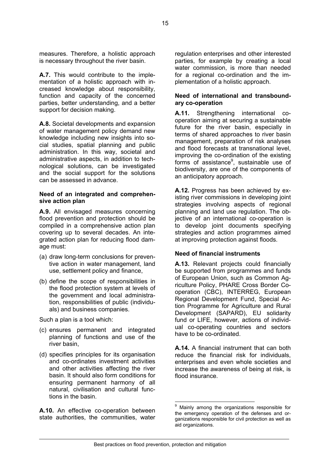measures. Therefore, a holistic approach is necessary throughout the river basin.

**A.7.** This would contribute to the implementation of a holistic approach with increased knowledge about responsibility, function and capacity of the concerned parties, better understanding, and a better support for decision making.

**A.8.** Societal developments and expansion of water management policy demand new knowledge including new insights into social studies, spatial planning and public administration. In this way, societal and administrative aspects, in addition to technological solutions, can be investigated and the social support for the solutions can be assessed in advance.

#### **Need of an integrated and comprehensive action plan**

**A.9.** All envisaged measures concerning flood prevention and protection should be compiled in a comprehensive action plan covering up to several decades. An integrated action plan for reducing flood damage must:

- (a) draw long-term conclusions for preventive action in water management, land use, settlement policy and finance,
- (b) define the scope of responsibilities in the flood protection system at levels of the government and local administration, responsibilities of public (individuals) and business companies.

Such a plan is a tool which:

- (c) ensures permanent and integrated planning of functions and use of the river basin,
- (d) specifies principles for its organisation and co-ordinates investment activities and other activities affecting the river basin. It should also form conditions for ensuring permanent harmony of all natural, civilisation and cultural functions in the basin.

**A.10.** An effective co-operation between state authorities, the communities, water

regulation enterprises and other interested parties, for example by creating a local water commission, is more than needed for a regional co-ordination and the implementation of a holistic approach.

#### **Need of international and transboundary co-operation**

**A.11.** Strengthening international cooperation aiming at securing a sustainable future for the river basin, especially in terms of shared approaches to river basin management, preparation of risk analyses and flood forecasts at transnational level, improving the co-ordination of the existing forms of assistance<sup>9</sup>, sustainable use of biodiversity, are one of the components of an anticipatory approach.

**A.12.** Progress has been achieved by existing river commissions in developing joint strategies involving aspects of regional planning and land use regulation. The objective of an international co-operation is to develop joint documents specifying strategies and action programmes aimed at improving protection against floods.

### **Need of financial instruments**

**A.13.** Relevant projects could financially be supported from programmes and funds of European Union, such as Common Agriculture Policy, PHARE Cross Border Cooperation (CBC), INTERREG, European Regional Development Fund, Special Action Programme for Agriculture and Rural Development (SAPARD), EU solidarity fund or LIFE, however, actions of individual co-operating countries and sectors have to be co-ordinated.

**A.14.** A financial instrument that can both reduce the financial risk for individuals, enterprises and even whole societies and increase the awareness of being at risk, is flood insurance.

<span id="page-14-0"></span> 9 Mainly among the organizations responsible for the emergency operation of the defenses and organizations responsible for civil protection as well as aid organizations.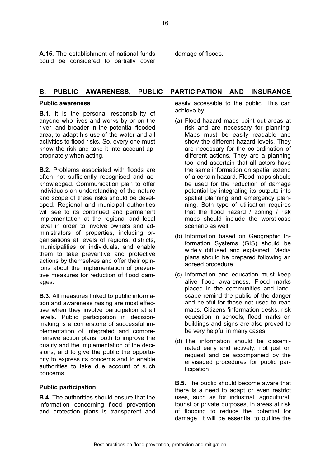**A.15.** The establishment of national funds could be considered to partially cover damage of floods.

### **B. PUBLIC AWARENESS, PUBLIC PARTICIPATION AND INSURANCE**

#### **Public awareness**

**B.1.** It is the personal responsibility of anyone who lives and works by or on the river, and broader in the potential flooded area, to adapt his use of the water and all activities to flood risks. So, every one must know the risk and take it into account appropriately when acting.

**B.2.** Problems associated with floods are often not sufficiently recognised and acknowledged. Communication plan to offer individuals an understanding of the nature and scope of these risks should be developed. Regional and municipal authorities will see to its continued and permanent implementation at the regional and local level in order to involve owners and administrators of properties, including organisations at levels of regions, districts, municipalities or individuals, and enable them to take preventive and protective actions by themselves and offer their opinions about the implementation of preventive measures for reduction of flood damages.

**B.3.** All measures linked to public information and awareness raising are most effective when they involve participation at all levels. Public participation in decisionmaking is a cornerstone of successful implementation of integrated and comprehensive action plans, both to improve the quality and the implementation of the decisions, and to give the public the opportunity to express its concerns and to enable authorities to take due account of such concerns.

### **Public participation**

**B.4.** The authorities should ensure that the information concerning flood prevention and protection plans is transparent and easily accessible to the public. This can achieve by:

- (a) Flood hazard maps point out areas at risk and are necessary for planning. Maps must be easily readable and show the different hazard levels. They are necessary for the co-ordination of different actions. They are a planning tool and ascertain that all actors have the same information on spatial extend of a certain hazard. Flood maps should be used for the reduction of damage potential by integrating its outputs into spatial planning and emergency planning. Both type of utilisation requires that the flood hazard / zoning / risk maps should include the worst-case scenario as well.
- (b) Information based on Geographic Information Systems (GIS) should be widely diffused and explained. Media plans should be prepared following an agreed procedure.
- (c) Information and education must keep alive flood awareness. Flood marks placed in the communities and landscape remind the public of the danger and helpful for those not used to read maps. Citizens 'information desks, risk education in schools, flood marks on buildings and signs are also proved to be very helpful in many cases.
- (d) The information should be disseminated early and actively, not just on request and be accompanied by the envisaged procedures for public participation

**B.5.** The public should become aware that there is a need to adapt or even restrict uses, such as for industrial, agricultural, tourist or private purposes, in areas at risk of flooding to reduce the potential for damage. It will be essential to outline the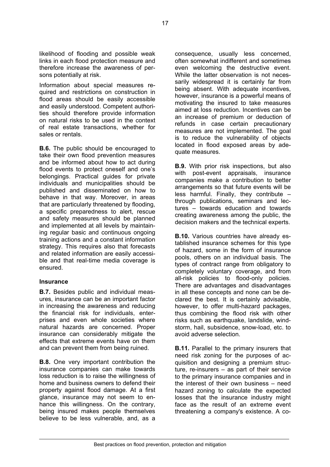likelihood of flooding and possible weak links in each flood protection measure and therefore increase the awareness of persons potentially at risk.

Information about special measures required and restrictions on construction in flood areas should be easily accessible and easily understood. Competent authorities should therefore provide information on natural risks to be used in the context of real estate transactions, whether for sales or rentals.

**B.6.** The public should be encouraged to take their own flood prevention measures and be informed about how to act during flood events to protect oneself and one's belongings. Practical guides for private individuals and municipalities should be published and disseminated on how to behave in that way. Moreover, in areas that are particularly threatened by flooding, a specific preparedness to alert, rescue and safety measures should be planned and implemented at all levels by maintaining regular basic and continuous ongoing training actions and a constant information strategy. This requires also that forecasts and related information are easily accessible and that real-time media coverage is ensured.

#### **Insurance**

**B.7.** Besides public and individual measures, insurance can be an important factor in increasing the awareness and reducing the financial risk for individuals, enterprises and even whole societies where natural hazards are concerned. Proper insurance can considerably mitigate the effects that extreme events have on them and can prevent them from being ruined.

**B.8.** One very important contribution the insurance companies can make towards loss reduction is to raise the willingness of home and business owners to defend their property against flood damage. At a first glance, insurance may not seem to enhance this willingness. On the contrary, being insured makes people themselves believe to be less vulnerable, and, as a

consequence, usually less concerned, often somewhat indifferent and sometimes even welcoming the destructive event. While the latter observation is not necessarily widespread it is certainly far from being absent. With adequate incentives, however, insurance is a powerful means of motivating the insured to take measures aimed at loss reduction. Incentives can be an increase of premium or deduction of refunds in case certain precautionary measures are not implemented. The goal is to reduce the vulnerability of objects located in flood exposed areas by adequate measures.

**B.9.** With prior risk inspections, but also with post-event appraisals, insurance companies make a contribution to better arrangements so that future events will be less harmful. Finally, they contribute – through publications, seminars and lectures – towards education and towards creating awareness among the public, the decision makers and the technical experts.

**B.10.** Various countries have already established insurance schemes for this type of hazard, some in the form of insurance pools, others on an individual basis. The types of contract range from obligatory to completely voluntary coverage, and from all-risk policies to flood-only policies. There are advantages and disadvantages in all these concepts and none can be declared the best. It is certainly advisable, however, to offer multi-hazard packages, thus combining the flood risk with other risks such as earthquake, landslide, windstorm, hail, subsidence, snow-load, etc. to avoid adverse selection.

**B.11.** Parallel to the primary insurers that need risk zoning for the purposes of acquisition and designing a premium structure, re-insurers – as part of their service to the primary insurance companies and in the interest of their own business – need hazard zoning to calculate the expected losses that the insurance industry might face as the result of an extreme event threatening a company's existence. A co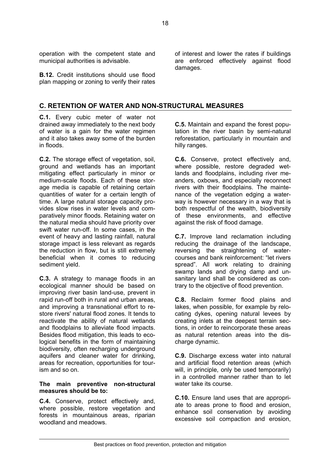operation with the competent state and municipal authorities is advisable.

**B.12.** Credit institutions should use flood plan mapping or zoning to verify their rates

of interest and lower the rates if buildings are enforced effectively against flood damages.

#### **C. RETENTION OF WATER AND NON-STRUCTURAL MEASURES**

**C.1.** Every cubic meter of water not drained away immediately to the next body of water is a gain for the water regimen and it also takes away some of the burden in floods.

**C.2.** The storage effect of vegetation, soil, ground and wetlands has an important mitigating effect particularly in minor or medium-scale floods. Each of these storage media is capable of retaining certain quantities of water for a certain length of time. A large natural storage capacity provides slow rises in water levels and comparatively minor floods. Retaining water on the natural media should have priority over swift water run-off. In some cases, in the event of heavy and lasting rainfall, natural storage impact is less relevant as regards the reduction in flow, but is still extremely beneficial when it comes to reducing sediment yield.

**C.3.** A strategy to manage floods in an ecological manner should be based on improving river basin land-use, prevent in rapid run-off both in rural and urban areas, and improving a transnational effort to restore rivers' natural flood zones. It tends to reactivate the ability of natural wetlands and floodplains to alleviate flood impacts. Besides flood mitigation, this leads to ecological benefits in the form of maintaining biodiversity, often recharging underground aquifers and cleaner water for drinking, areas for recreation, opportunities for tourism and so on.

#### **The main preventive non-structural measures should be to:**

**C.4.** Conserve, protect effectively and, where possible, restore vegetation and forests in mountainous areas, riparian woodland and meadows.

**C.5.** Maintain and expand the forest population in the river basin by semi-natural reforestation, particularly in mountain and hilly ranges.

**C.6.** Conserve, protect effectively and, where possible, restore degraded wetlands and floodplains, including river meanders, oxbows, and especially reconnect rivers with their floodplains. The maintenance of the vegetation edging a waterway is however necessary in a way that is both respectful of the wealth, biodiversity of these environments, and effective against the risk of flood damage.

**C.7.** Improve land reclamation including reducing the drainage of the landscape, reversing the straightening of watercourses and bank reinforcement: "let rivers spread". All work relating to draining swamp lands and drying damp and unsanitary land shall be considered as contrary to the objective of flood prevention.

**C.8.** Reclaim former flood plains and lakes, when possible, for example by relocating dykes, opening natural levees by creating inlets at the deepest terrain sections, in order to reincorporate these areas as natural retention areas into the discharge dynamic.

**C.9.** Discharge excess water into natural and artificial flood retention areas (which will, in principle, only be used temporarily) in a controlled manner rather than to let water take its course.

**C.10.** Ensure land uses that are appropriate to areas prone to flood and erosion, enhance soil conservation by avoiding excessive soil compaction and erosion,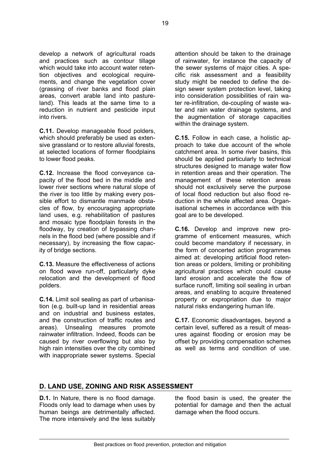develop a network of agricultural roads and practices such as contour tillage which would take into account water retention objectives and ecological requirements, and change the vegetation cover (grassing of river banks and flood plain areas, convert arable land into pastureland). This leads at the same time to a reduction in nutrient and pesticide input into rivers.

**C.11.** Develop manageable flood polders, which should preferably be used as extensive grassland or to restore alluvial forests, at selected locations of former floodplains to lower flood peaks.

**C.12.** Increase the flood conveyance capacity of the flood bed in the middle and lower river sections where natural slope of the river is too little by making every possible effort to dismantle manmade obstacles of flow, by encouraging appropriate land uses, e.g. rehabilitation of pastures and mosaic type floodplain forests in the floodway, by creation of bypassing channels in the flood bed (where possible and if necessary), by increasing the flow capacity of bridge sections.

**C.13.** Measure the effectiveness of actions on flood wave run-off, particularly dyke relocation and the development of flood polders.

**C.14.** Limit soil sealing as part of urbanisation (e.g. built-up land in residential areas and on industrial and business estates, and the construction of traffic routes and areas). Unsealing measures promote rainwater infiltration. Indeed, floods can be caused by river overflowing but also by high rain intensities over the city combined with inappropriate sewer systems. Special

attention should be taken to the drainage of rainwater, for instance the capacity of the sewer systems of major cities. A specific risk assessment and a feasibility study might be needed to define the design sewer system protection level, taking into consideration possibilities of rain water re-infiltration, de-coupling of waste water and rain water drainage systems, and the augmentation of storage capacities within the drainage system.

**C.15.** Follow in each case, a holistic approach to take due account of the whole catchment area. In some river basins, this should be applied particularly to technical structures designed to manage water flow in retention areas and their operation. The management of these retention areas should not exclusively serve the purpose of local flood reduction but also flood reduction in the whole affected area. Organisational schemes in accordance with this goal are to be developed.

**C.16.** Develop and improve new programme of enticement measures, which could become mandatory if necessary, in the form of concerted action programmes aimed at: developing artificial flood retention areas or polders, limiting or prohibiting agricultural practices which could cause land erosion and accelerate the flow of surface runoff, limiting soil sealing in urban areas, and enabling to acquire threatened property or expropriation due to major natural risks endangering human life.

**C.17.** Economic disadvantages, beyond a certain level, suffered as a result of measures against flooding or erosion may be offset by providing compensation schemes as well as terms and condition of use.

### **D. LAND USE, ZONING AND RISK ASSESSMENT**

**D.1.** In Nature, there is no flood damage. Floods only lead to damage when uses by human beings are detrimentally affected. The more intensively and the less suitably the flood basin is used, the greater the potential for damage and then the actual damage when the flood occurs.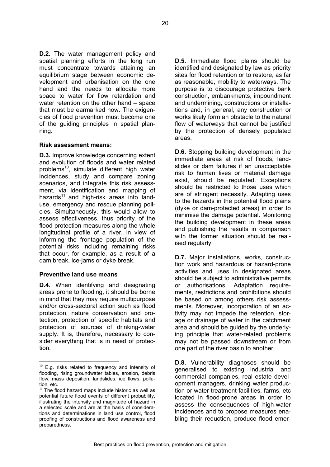**D.2.** The water management policy and spatial planning efforts in the long run must concentrate towards attaining an equilibrium stage between economic development and urbanisation on the one hand and the needs to allocate more space to water for flow retardation and water retention on the other hand – space that must be earmarked now. The exigencies of flood prevention must become one of the guiding principles in spatial planning.

#### **Risk assessment means:**

**D.3.** Improve knowledge concerning extent and evolution of floods and water related problems<sup>10</sup>, simulate different high water incidences, study and compare zoning scenarios, and integrate this risk assessment, via identification and mapping of hazards $11$  and high-risk areas into landuse, emergency and rescue planning policies. Simultaneously, this would allow to assess effectiveness, thus priority. of the flood protection measures along the whole longitudinal profile of a river, in view of informing the frontage population of the potential risks including remaining risks that occur, for example, as a result of a dam break, ice-jams or dyke break.

#### **Preventive land use means**

**D.4.** When identifying and designating areas prone to flooding, it should be borne in mind that they may require multipurpose and/or cross-sectoral action such as flood protection, nature conservation and protection, protection of specific habitats and protection of sources of drinking-water supply. It is, therefore, necessary to consider everything that is in need of protection.

**D.5.** Immediate flood plains should be identified and designated by law as priority sites for flood retention or to restore, as far as reasonable, mobility to waterways. The purpose is to discourage protective bank construction, embankments, impoundment and undermining, constructions or installations and, in general, any construction or works likely form an obstacle to the natural flow of waterways that cannot be justified by the protection of densely populated areas.

**D.6.** Stopping building development in the immediate areas at risk of floods, landslides or dam failures if an unacceptable risk to human lives or material damage exist, should be regulated. Exceptions should be restricted to those uses which are of stringent necessity. Adapting uses to the hazards in the potential flood plains (dyke or dam-protected areas) in order to minimise the damage potential. Monitoring the building development in these areas and publishing the results in comparison with the former situation should be realised regularly.

**D.7.** Major installations, works, construction work and hazardous or hazard-prone activities and uses in designated areas should be subject to administrative permits or authorisations. Adaptation requirements, restrictions and prohibitions should be based on among others risk assessments. Moreover, incorporation of an activity may not impede the retention, storage or drainage of water in the catchment area and should be guided by the underlying principle that water-related problems may not be passed downstream or from one part of the river basin to another.

**D.8.** Vulnerability diagnoses should be generalised to existing industrial and commercial companies, real estate development managers, drinking water production or water treatment facilities, farms, etc located in flood-prone areas in order to assess the consequences of high-water incidences and to propose measures enabling their reduction, produce flood emer-

<span id="page-19-0"></span> $\overline{a}$  $10$  E.g. risks related to frequency and intensity of flooding, rising groundwater tables, erosion, debris flow, mass deposition, landslides, ice flows, pollution, etc.

<span id="page-19-1"></span> $11$  The flood hazard maps include historic as well as potential future flood events of different probability, illustrating the intensity and magnitude of hazard in a selected scale and are at the basis of considerations and determinations in land use control, flood proofing of constructions and flood awareness and preparedness.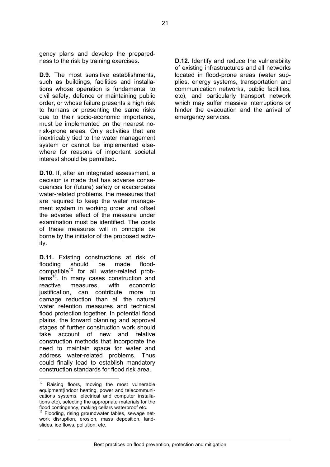gency plans and develop the preparedness to the risk by training exercises.

**D.9.** The most sensitive establishments, such as buildings, facilities and installations whose operation is fundamental to civil safety, defence or maintaining public order, or whose failure presents a high risk to humans or presenting the same risks due to their socio-economic importance, must be implemented on the nearest norisk-prone areas. Only activities that are inextricably tied to the water management system or cannot be implemented elsewhere for reasons of important societal interest should be permitted.

**D.10.** If, after an integrated assessment, a decision is made that has adverse consequences for (future) safety or exacerbates water-related problems, the measures that are required to keep the water management system in working order and offset the adverse effect of the measure under examination must be identified. The costs of these measures will in principle be borne by the initiator of the proposed activity.

**D.11.** Existing constructions at risk of flooding should be made flood $compatible<sup>12</sup>$  for all water-related prob $lems<sup>13</sup>$ . In many cases construction and reactive measures, with economic justification, can contribute more to damage reduction than all the natural water retention measures and technical flood protection together. In potential flood plains, the forward planning and approval stages of further construction work should take account of new and relative construction methods that incorporate the need to maintain space for water and address water-related problems. Thus could finally lead to establish mandatory construction standards for flood risk area.

 $\overline{a}$ 

**D.12.** Identify and reduce the vulnerability of existing infrastructures and all networks located in flood-prone areas (water supplies, energy systems, transportation and communication networks, public facilities, etc), and particularly transport network which may suffer massive interruptions or hinder the evacuation and the arrival of emergency services.

<span id="page-20-0"></span> $12$  Raising floors, moving the most vulnerable equipment(indoor heating, power and telecommunications systems, electrical and computer installations etc), selecting the appropriate materials for the

<span id="page-20-1"></span>flood contingency, making cellars waterproof etc.<br><sup>13</sup> Flooding, rising groundwater tables, sewage network disruption, erosion, mass deposition, landslides, ice flows, pollution, etc.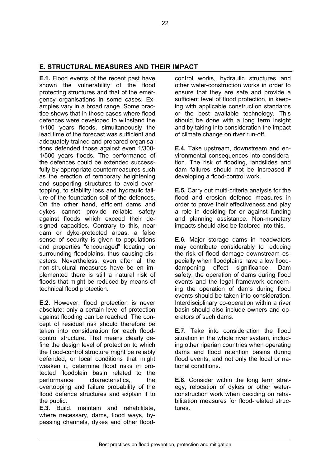### **E. STRUCTURAL MEASURES AND THEIR IMPACT**

**E.1.** Flood events of the recent past have shown the vulnerability of the flood protecting structures and that of the emergency organisations in some cases. Examples vary in a broad range. Some practice shows that in those cases where flood defences were developed to withstand the 1/100 years floods, simultaneously the lead time of the forecast was sufficient and adequately trained and prepared organisations defended those against even 1/300- 1/500 years floods. The performance of the defences could be extended successfully by appropriate countermeasures such as the erection of temporary heightening and supporting structures to avoid overtopping, to stability loss and hydraulic failure of the foundation soil of the defences. On the other hand, efficient dams and dykes cannot provide reliable safety against floods which exceed their designed capacities. Contrary to this, near dam or dyke-protected areas, a false sense of security is given to populations and properties "encouraged" locating on surrounding floodplains, thus causing disasters. Nevertheless, even after all the non-structural measures have be en implemented there is still a natural risk of floods that might be reduced by means of technical flood protection.

**E.2.** However, flood protection is never absolute; only a certain level of protection against flooding can be reached. The concept of residual risk should therefore be taken into consideration for each floodcontrol structure. That means clearly define the design level of protection to which the flood-control structure might be reliably defended, or local conditions that might weaken it, determine flood risks in protected floodplain basin related to the performance characteristics, the overtopping and failure probability of the flood defence structures and explain it to the public.

**E.3.** Build, maintain and rehabilitate, where necessary, dams, flood ways, bypassing channels, dykes and other floodcontrol works, hydraulic structures and other water-construction works in order to ensure that they are safe and provide a sufficient level of flood protection, in keeping with applicable construction standards or the best available technology. This should be done with a long term insight and by taking into consideration the impact of climate change on river run-off.

**E.4.** Take upstream, downstream and environmental consequences into consideration. The risk of flooding, landslides and dam failures should not be increased if developing a flood-control work.

**E.5.** Carry out multi-criteria analysis for the flood and erosion defence measures in order to prove their effectiveness and play a role in deciding for or against funding and planning assistance. Non-monetary impacts should also be factored into this.

**E.6.** Major storage dams in headwaters may contribute considerably to reducing the risk of flood damage downstream especially when floodplains have a low flooddampening effect significance. Dam safety, the operation of dams during flood events and the legal framework concerning the operation of dams during flood events should be taken into consideration. Interdisciplinary co-operation within a river basin should also include owners and operators of such dams.

**E.7.** Take into consideration the flood situation in the whole river system, including other riparian countries when operating dams and flood retention basins during flood events, and not only the local or national conditions.

**E.8.** Consider within the long term strategy, relocation of dykes or other waterconstruction work when deciding on rehabilitation measures for flood-related structures.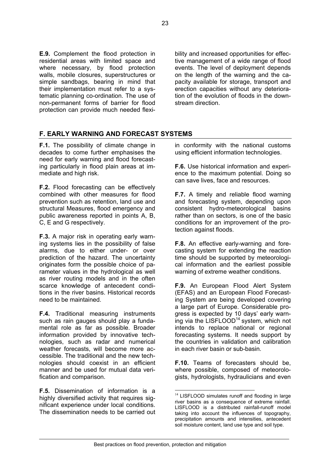**E.9.** Complement the flood protection in residential areas with limited space and where necessary, by flood protection walls, mobile closures, superstructures or simple sandbags, bearing in mind that their implementation must refer to a systematic planning co-ordination. The use of non-permanent forms of barrier for flood protection can provide much needed flexibility and increased opportunities for effective management of a wide range of flood events. The level of deployment depends on the length of the warning and the capacity available for storage, transport and erection capacities without any deterioration of the evolution of floods in the downstream direction.

### **F. EARLY WARNING AND FORECAST SYSTEMS**

**F.1.** The possibility of climate change in decades to come further emphasises the need for early warning and flood forecasting particularly in flood plain areas at immediate and high risk.

**F.2.** Flood forecasting can be effectively combined with other measures for flood prevention such as retention, land use and structural Measures, flood emergency and public awareness reported in points A, B, C, E and G respectively.

**F.3.** A major risk in operating early warning systems lies in the possibility of false alarms, due to either under- or over prediction of the hazard. The uncertainty originates form the possible choice of parameter values in the hydrological as well as river routing models and in the often scarce knowledge of antecedent conditions in the river basins. Historical records need to be maintained.

**F.4.** Traditional measuring instruments such as rain gauges should play a fundamental role as far as possible. Broader information provided by innovative technologies, such as radar and numerical weather forecasts, will become more accessible. The traditional and the new technologies should coexist in an efficient manner and be used for mutual data verification and comparison.

**F.5.** Dissemination of information is a highly diversified activity that requires significant experience under local conditions. The dissemination needs to be carried out in conformity with the national customs using efficient information technologies.

**F.6.** Use historical information and experience to the maximum potential. Doing so can save lives, face and resources.

**F.7.** A timely and reliable flood warning and forecasting system, depending upon consistent hydro-meteorological basins rather than on sectors, is one of the basic conditions for an improvement of the protection against floods.

**F.8.** An effective early-warning and forecasting system for extending the reaction time should be supported by meteorological information and the earliest possible warning of extreme weather conditions.

**F.9.** An European Flood Alert System (EFAS) and an European Flood Forecasting System are being developed covering a large part of Europe. Considerable progress is expected by 10 days' early warn-ing via the LISFLOOD<sup>[14](#page-22-0)</sup> system, which not intends to replace national or regional forecasting systems. It needs support by the countries in validation and calibration in each river basin or sub-basin.

**F.10.** Teams of forecasters should be, where possible, composed of meteorologists, hydrologists, hydraulicians and even

<span id="page-22-0"></span><sup>&</sup>lt;sup>14</sup> LISFLOOD simulates runoff and flooding in large river basins as a consequence of extreme rainfall. LISFLOOD is a distributed rainfall-runoff model taking into account the influences of topography, precipitation amounts and intensities, antecedent soil moisture content, land use type and soil type.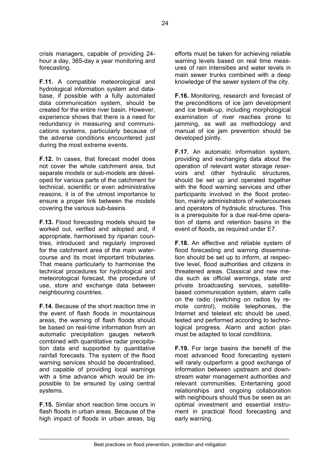crisis managers, capable of providing 24 hour a day, 365-day a year monitoring and forecasting.

**F.11.** A compatible meteorological and hydrological information system and database, if possible with a fully automated data communication system, should be created for the entire river basin. However, experience shows that there is a need for redundancy in measuring and communications systems, particularly because of the adverse conditions encountered just during the most extreme events.

**F.12.** In cases, that forecast model does not cover the whole catchment area, but separate models or sub-models are developed for various parts of the catchment for technical, scientific or even administrative reasons, it is of the utmost importance to ensure a proper link between the models covering the various sub-basins.

**F.13.** Flood forecasting models should be worked out, verified and adopted and, if appropriate, harmonised by riparian countries, introduced and regularly improved for the catchment area of the main watercourse and its most important tributaries. That means particularly to harmonise the technical procedures for hydrological and meteorological forecast, the procedure of use, store and exchange data between neighbouring countries.

**F.14.** Because of the short reaction time in the event of flash floods in mountainous areas, the warning of flash floods should be based on real-time information from an automatic precipitation gauges network combined with quantitative radar precipitation data and supported by quantitative rainfall forecasts. The system of the flood warning services should be decentralised, and capable of providing local warnings with a time advance which would be impossible to be ensured by using central systems.

**F.15.** Similar short reaction time occurs in flash floods in urban areas. Because of the high impact of floods in urban areas, big efforts must be taken for achieving reliable warning levels based on real time measures of rain intensities and water levels in main sewer trunks combined with a deep knowledge of the sewer system of the city.

**F.16.** Monitoring, research and forecast of the preconditions of ice jam development and ice break-up, including morphological examination of river reaches prone to jamming, as well as methodology and manual of ice jam prevention should be developed jointly.

**F.17.** An automatic information system, providing and exchanging data about the operation of relevant water storage reservoirs and other hydraulic structures, should be set up and operated together with the flood warning services and other participants involved in the flood protection, mainly administrators of watercourses and operators of hydraulic structures. This is a prerequisite for a due real-time operation of dams and retention basins in the event of floods, as required under E7.

**F.18.** An effective and reliable system of flood forecasting and warning dissemination should be set up to inform, at respective level, flood authorities and citizens in threatened areas. Classical and new media such as official warnings, state and private broadcasting services, satellitebased communication system, alarm calls on the radio (switching on radios by remote control), mobile telephones, the Internet and teletext etc should be used, tested and performed according to technological progress. Alarm and action plan must be adapted to local conditions.

**F.19.** For large basins the benefit of the most advanced flood forecasting system will rarely outperform a good exchange of information between upstream and downstream water management authorities and relevant communities. Entertaining good relationships and ongoing collaboration with neighbours should thus be seen as an optimal investment and essential instrument in practical flood forecasting and early warning.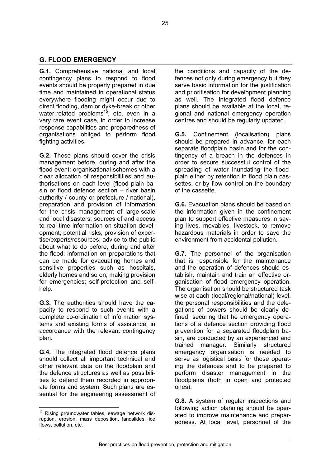### **G. FLOOD EMERGENCY**

**G.1.** Comprehensive national and local contingency plans to respond to flood events should be properly prepared in due time and maintained in operational status everywhere flooding might occur due to direct flooding, dam or dyke-break or other water-related problems<sup>15</sup>, etc, even in a very rare event case, in order to increase response capabilities and preparedness of organisations obliged to perform flood fighting activities.

**G.2.** These plans should cover the crisis management before, during and after the flood event: organisational schemes with a clear allocation of responsibilities and authorisations on each level (flood plain basin or flood defence section – river basin authority / county or prefecture / national), preparation and provision of information for the crisis management of large-scale and local disasters; sources of and access to real-time information on situation development; potential risks; provision of expertise/experts/resources; advice to the public about what to do before, during and after the flood; information on preparations that can be made for evacuating homes and sensitive properties such as hospitals, elderly homes and so on, making provision for emergencies; self-protection and selfhelp.

**G.3.** The authorities should have the capacity to respond to such events with a complete co-ordination of information systems and existing forms of assistance, in accordance with the relevant contingency plan.

**G.4.** The integrated flood defence plans should collect all important technical and other relevant data on the floodplain and the defence structures as well as possibilities to defend them recorded in appropriate forms and system. Such plans are essential for the engineering assessment of

 $\overline{a}$ 

the conditions and capacity of the defences not only during emergency but they serve basic information for the justification and prioritisation for development planning as well. The integrated flood defence plans should be available at the local, regional and national emergency operation centres and should be regularly updated.

**G.5.** Confinement (localisation) plans should be prepared in advance, for each separate floodplain basin and for the contingency of a breach in the defences in order to secure successful control of the spreading of water inundating the floodplain either by retention in flood plain cassettes, or by flow control on the boundary of the cassette.

**G.6.** Evacuation plans should be based on the information given in the confinement plan to support effective measures in saving lives, movables, livestock, to remove hazardous materials in order to save the environment from accidental pollution.

**G.7.** The personnel of the organisation that is responsible for the maintenance and the operation of defences should establish, maintain and train an effective organisation of flood emergency operation. The organisation should be structured task wise at each (local/regional/national) level, the personal responsibilities and the delegations of powers should be clearly defined, securing that he emergency operations of a defence section providing flood prevention for a separated floodplain basin, are conducted by an experienced and trained manager. Similarly structured emergency organisation is needed to serve as logistical basis for those operating the defences and to be prepared to perform disaster management in the floodplains (both in open and protected ones).

**G.8.** A system of regular inspections and following action planning should be operated to improve maintenance and preparedness. At local level, personnel of the

<span id="page-24-0"></span> $15$  Rising groundwater tables, sewage network disruption, erosion, mass deposition, landslides, ice flows, pollution, etc.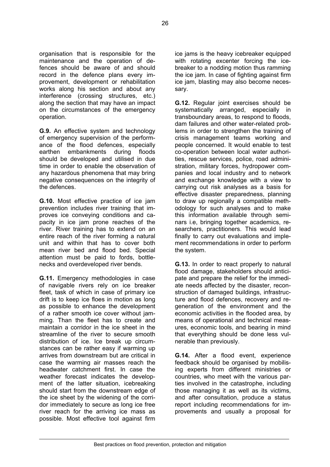organisation that is responsible for the maintenance and the operation of defences should be aware of and should record in the defence plans every improvement, development or rehabilitation works along his section and about any interference (crossing structures, etc.) along the section that may have an impact on the circumstances of the emergency operation.

**G.9.** An effective system and technology of emergency supervision of the performance of the flood defences, especially earthen embankments during floods should be developed and utilised in due time in order to enable the observation of any hazardous phenomena that may bring negative consequences on the integrity of the defences.

**G.10.** Most effective practice of ice jam prevention includes river training that improves ice conveying conditions and capacity in ice jam prone reaches of the river. River training has to extend on an entire reach of the river forming a natural unit and within that has to cover both mean river bed and flood bed. Special attention must be paid to fords, bottlenecks and overdeveloped river bends.

**G.11.** Emergency methodologies in case of navigable rivers rely on ice breaker fleet, task of which in case of primary ice drift is to keep ice floes in motion as long as possible to enhance the development of a rather smooth ice cover without jamming. Than the fleet has to create and maintain a corridor in the ice sheet in the streamline of the river to secure smooth distribution of ice. Ice break up circumstances can be rather easy if warming up arrives from downstream but are critical in case the warming air masses reach the headwater catchment first. In case the weather forecast indicates the development of the latter situation, icebreaking should start from the downstream edge of the ice sheet by the widening of the corridor immediately to secure as long ice free river reach for the arriving ice mass as possible. Most effective tool against firm

ice jams is the heavy icebreaker equipped with rotating excenter forcing the icebreaker to a nodding motion thus ramming the ice jam. In case of fighting against firm ice jam, blasting may also become necessary.

**G.12.** Regular joint exercises should be systematically arranged, especially in transboundary areas, to respond to floods, dam failures and other water-related problems in order to strengthen the training of crisis management teams working and people concerned. It would enable to test co-operation between local water authorities, rescue services, police, road administration, military forces, hydropower companies and local industry and to network and exchange knowledge with a view to carrying out risk analyses as a basis for effective disaster preparedness, planning to draw up regionally a compatible methodology for such analyses and to make this information available through seminars i.e, bringing together academics, researchers, practitioners. This would lead finally to carry out evaluations and implement recommendations in order to perform the system.

**G.13.** In order to react properly to natural flood damage, stakeholders should anticipate and prepare the relief for the immediate needs affected by the disaster, reconstruction of damaged buildings, infrastructure and flood defences, recovery and regeneration of the environment and the economic activities in the flooded area, by means of operational and technical measures, economic tools, and bearing in mind that everything should be done less vulnerable than previously.

**G.14.** After a flood event, experience feedback should be organised by mobilising experts from different ministries or countries, who meet with the various parties involved in the catastrophe, including those managing it as well as its victims, and after consultation, produce a status report including recommendations for improvements and usually a proposal for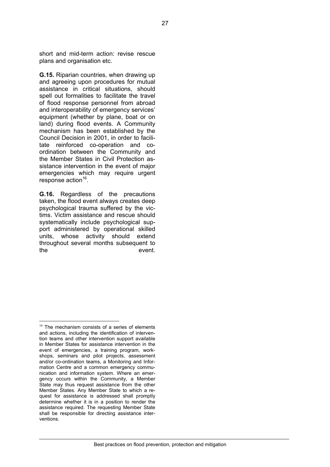short and mid-term action: revise rescue plans and organisation etc.

**G.15.** Riparian countries, when drawing up and agreeing upon procedures for mutual assistance in critical situations, should spell out formalities to facilitate the travel of flood response personnel from abroad and interoperability of emergency services' equipment (whether by plane, boat or on land) during flood events. A Community mechanism has been established by the Council Decision in 2001, in order to facilitate reinforced co-operation and coordination between the Community and the Member States in Civil Protection assistance intervention in the event of major emergencies which may require urgent response action $16$ .

**G.16.** Regardless of the precautions taken, the flood event always creates deep psychological trauma suffered by the victims. Victim assistance and rescue should systematically include psychological support administered by operational skilled units, whose activity should extend throughout several months subsequent to the event.

 $\overline{a}$ 

<span id="page-26-0"></span> $16$  The mechanism consists of a series of elements and actions, including the identification of intervention teams and other intervention support available in Member States for assistance intervention in the event of emergencies, a training program, workshops, seminars and pilot projects, assessment and/or co-ordination teams, a Monitoring and Information Centre and a common emergency communication and information system. Where an emergency occurs within the Community, a Member State may thus request assistance from the other Member States. Any Member State to which a request for assistance is addressed shall promptly determine whether it is in a position to render the assistance required. The requesting Member State shall be responsible for directing assistance interventions.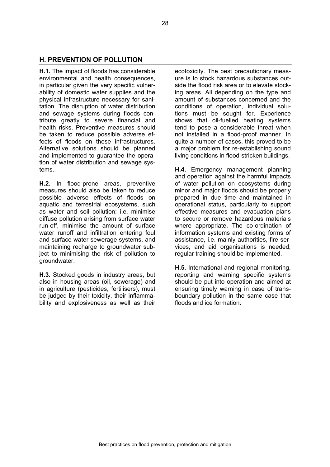### **H. PREVENTION OF POLLUTION**

**H.1.** The impact of floods has considerable environmental and health consequences, in particular given the very specific vulnerability of domestic water supplies and the physical infrastructure necessary for sanitation. The disruption of water distribution and sewage systems during floods contribute greatly to severe financial and health risks. Preventive measures should be taken to reduce possible adverse effects of floods on these infrastructures. Alternative solutions should be planned and implemented to guarantee the operation of water distribution and sewage systems.

**H.2.** In flood-prone areas, preventive measures should also be taken to reduce possible adverse effects of floods on aquatic and terrestrial ecosystems, such as water and soil pollution: i.e. minimise diffuse pollution arising from surface water run-off, minimise the amount of surface water runoff and infiltration entering foul and surface water sewerage systems, and maintaining recharge to groundwater subject to minimising the risk of pollution to groundwater.

**H.3.** Stocked goods in industry areas, but also in housing areas (oil, sewerage) and in agriculture (pesticides, fertilisers), must be judged by their toxicity, their inflammability and explosiveness as well as their

ecotoxicity. The best precautionary measure is to stock hazardous substances outside the flood risk area or to elevate stocking areas. All depending on the type and amount of substances concerned and the conditions of operation, individual solutions must be sought for. Experience shows that oil-fuelled heating systems tend to pose a considerable threat when not installed in a flood-proof manner. In quite a number of cases, this proved to be a major problem for re-establishing sound living conditions in flood-stricken buildings.

**H.4.** Emergency management planning and operation against the harmful impacts of water pollution on ecosystems during minor and major floods should be properly prepared in due time and maintained in operational status, particularly to support effective measures and evacuation plans to secure or remove hazardous materials where appropriate. The co-ordination of information systems and existing forms of assistance, i.e. mainly authorities, fire services, and aid organisations is needed, regular training should be implemented.

**H.5.** International and regional monitoring, reporting and warning specific systems should be put into operation and aimed at ensuring timely warning in case of transboundary pollution in the same case that floods and ice formation.